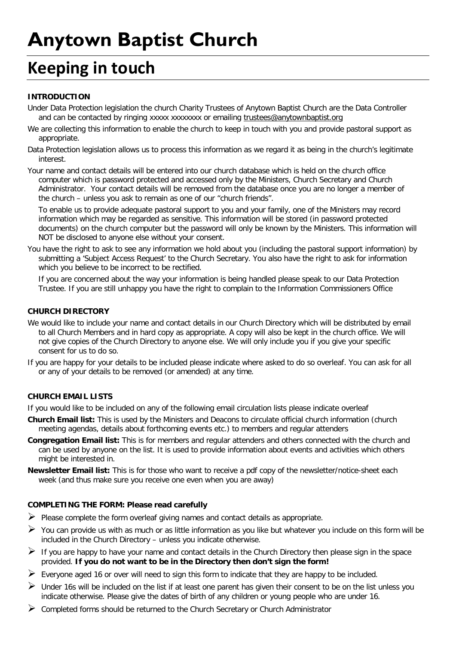# **Anytown Baptist Church**

## **Keeping in touch**

### **INTRODUCTION**

Under Data Protection legislation the church Charity Trustees of Anytown Baptist Church are the Data Controller and can be contacted by ringing xxxxx xxxxxxxx or emailing [trustees@anytownbaptist.org](mailto:trustees@anytownbaptist.org)

We are collecting this information to enable the church to keep in touch with you and provide pastoral support as appropriate.

Data Protection legislation allows us to process this information as we regard it as being in the church's legitimate interest.

Your name and contact details will be entered into our church database which is held on the church office computer which is password protected and accessed only by the Ministers, Church Secretary and Church Administrator. Your contact details will be removed from the database once you are no longer a member of the church – unless you ask to remain as one of our "church friends".

To enable us to provide adequate pastoral support to you and your family, one of the Ministers may record information which may be regarded as sensitive. This information will be stored (in password protected documents) on the church computer but the password will only be known by the Ministers. This information will NOT be disclosed to anyone else without your consent.

You have the right to ask to see any information we hold about you (including the pastoral support information) by submitting a 'Subject Access Request' to the Church Secretary. You also have the right to ask for information which you believe to be incorrect to be rectified.

If you are concerned about the way your information is being handled please speak to our Data Protection Trustee. If you are still unhappy you have the right to complain to the Information Commissioners Office

#### **CHURCH DIRECTORY**

- We would like to include your name and contact details in our Church Directory which will be distributed by email to all Church Members and in hard copy as appropriate. A copy will also be kept in the church office. We will not give copies of the Church Directory to anyone else. We will only include you if you give your specific consent for us to do so.
- If you are happy for your details to be included please indicate where asked to do so overleaf. You can ask for all or any of your details to be removed (or amended) at any time.

#### **CHURCH EMAIL LISTS**

If you would like to be included on any of the following email circulation lists please indicate overleaf

- **Church Email list:** This is used by the Ministers and Deacons to circulate official church information (church meeting agendas, details about forthcoming events etc.) to members and regular attenders
- **Congregation Email list:** This is for members and regular attenders and others connected with the church and can be used by anyone on the list. It is used to provide information about events and activities which others might be interested in.
- **Newsletter Email list:** This is for those who want to receive a pdf copy of the newsletter/notice-sheet each week (and thus make sure you receive one even when you are away)

#### **COMPLETING THE FORM: Please read carefully**

- $\triangleright$  Please complete the form overleaf giving names and contact details as appropriate.
- $\triangleright$  You can provide us with as much or as little information as you like but whatever you include on this form will be included in the Church Directory – unless you indicate otherwise.
- If you are happy to have your name and contact details in the Church Directory then please sign in the space provided. **If you do not want to be in the Directory then don't sign the form!**
- $\triangleright$  Everyone aged 16 or over will need to sign this form to indicate that they are happy to be included.
- $\triangleright$  Under 16s will be included on the list if at least one parent has given their consent to be on the list unless you indicate otherwise. Please give the dates of birth of any children or young people who are under 16.
- $\triangleright$  Completed forms should be returned to the Church Secretary or Church Administrator